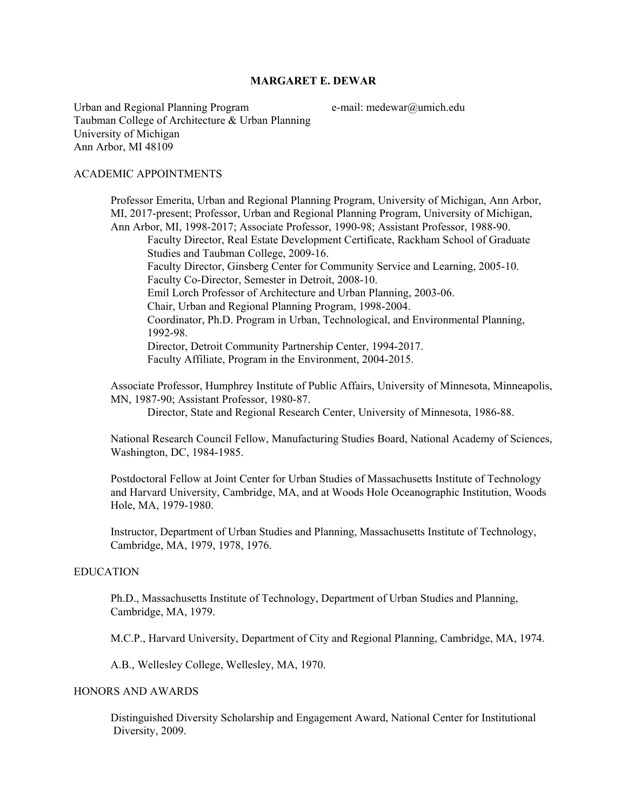## **MARGARET E. DEWAR**

Urban and Regional Planning Program  $e$ -mail: medewar $@$ umich.edu Taubman College of Architecture & Urban Planning University of Michigan Ann Arbor, MI 48109

#### ACADEMIC APPOINTMENTS

 Professor Emerita, Urban and Regional Planning Program, University of Michigan, Ann Arbor, MI, 2017-present; Professor, Urban and Regional Planning Program, University of Michigan, Ann Arbor, MI, 1998-2017; Associate Professor, 1990-98; Assistant Professor, 1988-90. Faculty Director, Real Estate Development Certificate, Rackham School of Graduate Studies and Taubman College, 2009-16. Faculty Director, Ginsberg Center for Community Service and Learning, 2005-10. Faculty Co-Director, Semester in Detroit, 2008-10. Emil Lorch Professor of Architecture and Urban Planning, 2003-06. Chair, Urban and Regional Planning Program, 1998-2004. Coordinator, Ph.D. Program in Urban, Technological, and Environmental Planning, 1992-98. Director, Detroit Community Partnership Center, 1994-2017. Faculty Affiliate, Program in the Environment, 2004-2015.

 Associate Professor, Humphrey Institute of Public Affairs, University of Minnesota, Minneapolis, MN, 1987-90; Assistant Professor, 1980-87.

Director, State and Regional Research Center, University of Minnesota, 1986-88.

 National Research Council Fellow, Manufacturing Studies Board, National Academy of Sciences, Washington, DC, 1984-1985.

 Postdoctoral Fellow at Joint Center for Urban Studies of Massachusetts Institute of Technology and Harvard University, Cambridge, MA, and at Woods Hole Oceanographic Institution, Woods Hole, MA, 1979-1980.

 Instructor, Department of Urban Studies and Planning, Massachusetts Institute of Technology, Cambridge, MA, 1979, 1978, 1976.

## EDUCATION

 Ph.D., Massachusetts Institute of Technology, Department of Urban Studies and Planning, Cambridge, MA, 1979.

M.C.P., Harvard University, Department of City and Regional Planning, Cambridge, MA, 1974.

A.B., Wellesley College, Wellesley, MA, 1970.

### HONORS AND AWARDS

Distinguished Diversity Scholarship and Engagement Award, National Center for Institutional Diversity, 2009.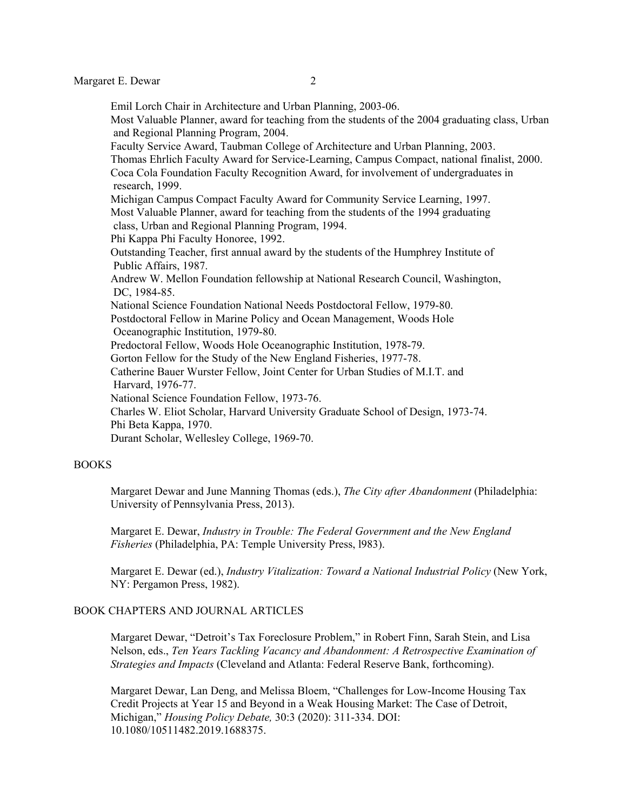Emil Lorch Chair in Architecture and Urban Planning, 2003-06. Most Valuable Planner, award for teaching from the students of the 2004 graduating class, Urban and Regional Planning Program, 2004. Faculty Service Award, Taubman College of Architecture and Urban Planning, 2003. Thomas Ehrlich Faculty Award for Service-Learning, Campus Compact, national finalist, 2000. Coca Cola Foundation Faculty Recognition Award, for involvement of undergraduates in research, 1999. Michigan Campus Compact Faculty Award for Community Service Learning, 1997. Most Valuable Planner, award for teaching from the students of the 1994 graduating class, Urban and Regional Planning Program, 1994. Phi Kappa Phi Faculty Honoree, 1992. Outstanding Teacher, first annual award by the students of the Humphrey Institute of Public Affairs, 1987. Andrew W. Mellon Foundation fellowship at National Research Council, Washington, DC, 1984-85. National Science Foundation National Needs Postdoctoral Fellow, 1979-80. Postdoctoral Fellow in Marine Policy and Ocean Management, Woods Hole Oceanographic Institution, 1979-80. Predoctoral Fellow, Woods Hole Oceanographic Institution, 1978-79. Gorton Fellow for the Study of the New England Fisheries, 1977-78. Catherine Bauer Wurster Fellow, Joint Center for Urban Studies of M.I.T. and Harvard, 1976-77. National Science Foundation Fellow, 1973-76. Charles W. Eliot Scholar, Harvard University Graduate School of Design, 1973-74. Phi Beta Kappa, 1970. Durant Scholar, Wellesley College, 1969-70.

#### BOOKS

Margaret Dewar and June Manning Thomas (eds.), *The City after Abandonment* (Philadelphia: University of Pennsylvania Press, 2013).

 Margaret E. Dewar, *Industry in Trouble: The Federal Government and the New England Fisheries* (Philadelphia, PA: Temple University Press, l983).

 Margaret E. Dewar (ed.), *Industry Vitalization: Toward a National Industrial Policy* (New York, NY: Pergamon Press, 1982).

## BOOK CHAPTERS AND JOURNAL ARTICLES

Margaret Dewar, "Detroit's Tax Foreclosure Problem," in Robert Finn, Sarah Stein, and Lisa Nelson, eds., *Ten Years Tackling Vacancy and Abandonment: A Retrospective Examination of Strategies and Impacts* (Cleveland and Atlanta: Federal Reserve Bank, forthcoming).

Margaret Dewar, Lan Deng, and Melissa Bloem, "Challenges for Low-Income Housing Tax Credit Projects at Year 15 and Beyond in a Weak Housing Market: The Case of Detroit, Michigan," *Housing Policy Debate,* 30:3 (2020): 311-334. DOI: 10.1080/10511482.2019.1688375.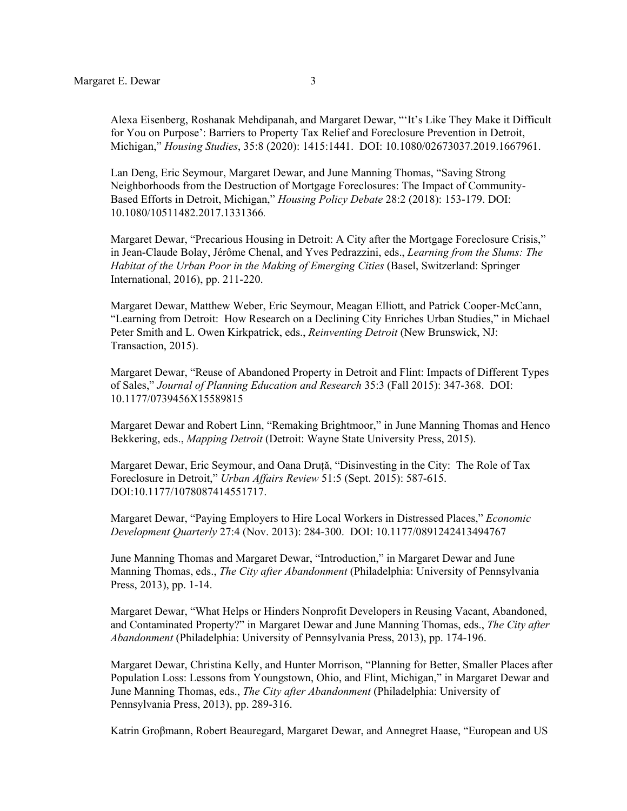Alexa Eisenberg, Roshanak Mehdipanah, and Margaret Dewar, "'It's Like They Make it Difficult for You on Purpose': Barriers to Property Tax Relief and Foreclosure Prevention in Detroit, Michigan," *Housing Studies*, 35:8 (2020): 1415:1441. DOI: 10.1080/02673037.2019.1667961.

Lan Deng, Eric Seymour, Margaret Dewar, and June Manning Thomas, "Saving Strong Neighborhoods from the Destruction of Mortgage Foreclosures: The Impact of Community-Based Efforts in Detroit, Michigan," *Housing Policy Debate* 28:2 (2018): 153-179. DOI: 10.1080/10511482.2017.1331366*.*

Margaret Dewar, "Precarious Housing in Detroit: A City after the Mortgage Foreclosure Crisis," in Jean-Claude Bolay, Jérôme Chenal, and Yves Pedrazzini, eds., *Learning from the Slums: The Habitat of the Urban Poor in the Making of Emerging Cities* (Basel, Switzerland: Springer International, 2016), pp. 211-220.

Margaret Dewar, Matthew Weber, Eric Seymour, Meagan Elliott, and Patrick Cooper-McCann, "Learning from Detroit: How Research on a Declining City Enriches Urban Studies," in Michael Peter Smith and L. Owen Kirkpatrick, eds., *Reinventing Detroit* (New Brunswick, NJ: Transaction, 2015).

Margaret Dewar, "Reuse of Abandoned Property in Detroit and Flint: Impacts of Different Types of Sales," *Journal of Planning Education and Research* 35:3 (Fall 2015): 347-368. DOI: 10.1177/0739456X15589815

Margaret Dewar and Robert Linn, "Remaking Brightmoor," in June Manning Thomas and Henco Bekkering, eds., *Mapping Detroit* (Detroit: Wayne State University Press, 2015).

Margaret Dewar, Eric Seymour, and Oana Druță, "Disinvesting in the City: The Role of Tax Foreclosure in Detroit," *Urban Affairs Review* 51:5 (Sept. 2015): 587-615. DOI:10.1177/1078087414551717.

Margaret Dewar, "Paying Employers to Hire Local Workers in Distressed Places," *Economic Development Quarterly* 27:4 (Nov. 2013): 284-300. DOI: 10.1177/0891242413494767

June Manning Thomas and Margaret Dewar, "Introduction," in Margaret Dewar and June Manning Thomas, eds., *The City after Abandonment* (Philadelphia: University of Pennsylvania Press, 2013), pp. 1-14.

Margaret Dewar, "What Helps or Hinders Nonprofit Developers in Reusing Vacant, Abandoned, and Contaminated Property?" in Margaret Dewar and June Manning Thomas, eds., *The City after Abandonment* (Philadelphia: University of Pennsylvania Press, 2013), pp. 174-196.

Margaret Dewar, Christina Kelly, and Hunter Morrison, "Planning for Better, Smaller Places after Population Loss: Lessons from Youngstown, Ohio, and Flint, Michigan," in Margaret Dewar and June Manning Thomas, eds., *The City after Abandonment* (Philadelphia: University of Pennsylvania Press, 2013), pp. 289-316.

Katrin Groβmann, Robert Beauregard, Margaret Dewar, and Annegret Haase, "European and US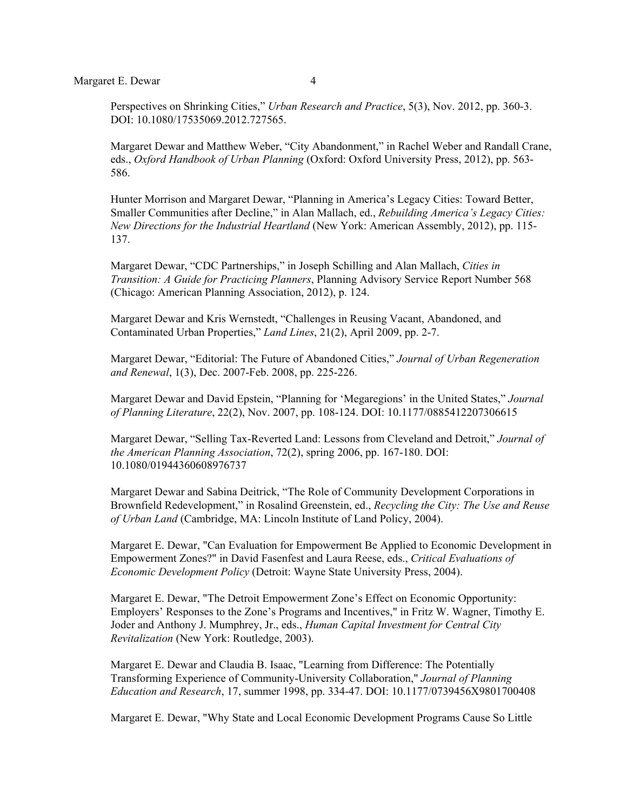Perspectives on Shrinking Cities," *Urban Research and Practice*, 5(3), Nov. 2012, pp. 360-3. DOI: 10.1080/17535069.2012.727565.

Margaret Dewar and Matthew Weber, "City Abandonment," in Rachel Weber and Randall Crane, eds., *Oxford Handbook of Urban Planning* (Oxford: Oxford University Press, 2012), pp. 563- 586.

Hunter Morrison and Margaret Dewar, "Planning in America's Legacy Cities: Toward Better, Smaller Communities after Decline," in Alan Mallach, ed., *Rebuilding America's Legacy Cities: New Directions for the Industrial Heartland* (New York: American Assembly, 2012), pp. 115- 137.

Margaret Dewar, "CDC Partnerships," in Joseph Schilling and Alan Mallach, *Cities in Transition: A Guide for Practicing Planners*, Planning Advisory Service Report Number 568 (Chicago: American Planning Association, 2012), p. 124.

Margaret Dewar and Kris Wernstedt, "Challenges in Reusing Vacant, Abandoned, and Contaminated Urban Properties," *Land Lines*, 21(2), April 2009, pp. 2-7.

Margaret Dewar, "Editorial: The Future of Abandoned Cities," *Journal of Urban Regeneration and Renewal*, 1(3), Dec. 2007-Feb. 2008, pp. 225-226.

Margaret Dewar and David Epstein, "Planning for 'Megaregions' in the United States," *Journal of Planning Literature*, 22(2), Nov. 2007, pp. 108-124. DOI: 10.1177/0885412207306615

Margaret Dewar, "Selling Tax-Reverted Land: Lessons from Cleveland and Detroit," *Journal of the American Planning Association*, 72(2), spring 2006, pp. 167-180. DOI: 10.1080/01944360608976737

Margaret Dewar and Sabina Deitrick, "The Role of Community Development Corporations in Brownfield Redevelopment," in Rosalind Greenstein, ed., *Recycling the City: The Use and Reuse of Urban Land* (Cambridge, MA: Lincoln Institute of Land Policy, 2004).

 Margaret E. Dewar, "Can Evaluation for Empowerment Be Applied to Economic Development in Empowerment Zones?" in David Fasenfest and Laura Reese, eds., *Critical Evaluations of Economic Development Policy* (Detroit: Wayne State University Press, 2004).

 Margaret E. Dewar, "The Detroit Empowerment Zone's Effect on Economic Opportunity: Employers' Responses to the Zone's Programs and Incentives," in Fritz W. Wagner, Timothy E. Joder and Anthony J. Mumphrey, Jr., eds., *Human Capital Investment for Central City Revitalization* (New York: Routledge, 2003).

 Margaret E. Dewar and Claudia B. Isaac, "Learning from Difference: The Potentially Transforming Experience of Community-University Collaboration," *Journal of Planning Education and Research*, 17, summer 1998, pp. 334-47. DOI: 10.1177/0739456X9801700408

Margaret E. Dewar, "Why State and Local Economic Development Programs Cause So Little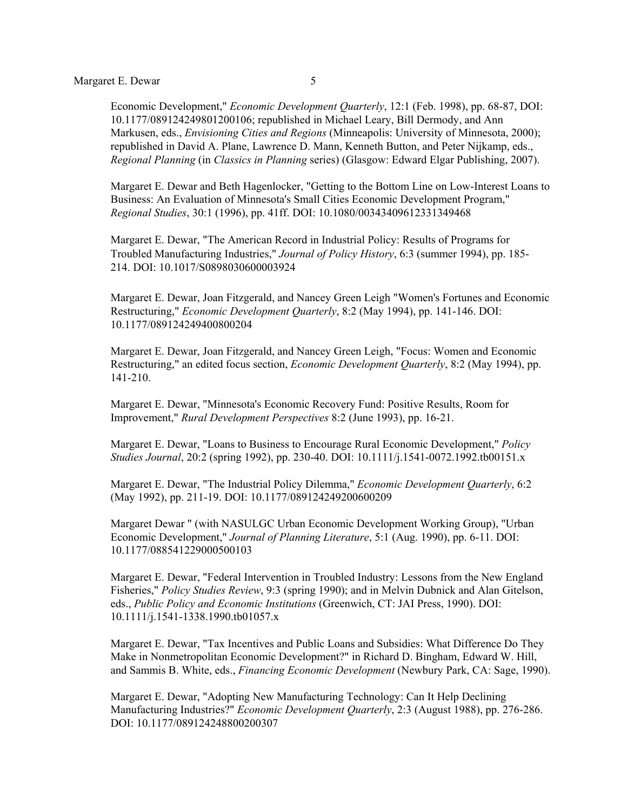Economic Development," *Economic Development Quarterly*, 12:1 (Feb. 1998), pp. 68-87, DOI: 10.1177/089124249801200106; republished in Michael Leary, Bill Dermody, and Ann Markusen, eds., *Envisioning Cities and Regions* (Minneapolis: University of Minnesota, 2000); republished in David A. Plane, Lawrence D. Mann, Kenneth Button, and Peter Nijkamp, eds., *Regional Planning* (in *Classics in Planning* series) (Glasgow: Edward Elgar Publishing, 2007).

 Margaret E. Dewar and Beth Hagenlocker, "Getting to the Bottom Line on Low-Interest Loans to Business: An Evaluation of Minnesota's Small Cities Economic Development Program," *Regional Studies*, 30:1 (1996), pp. 41ff. DOI: 10.1080/00343409612331349468

Margaret E. Dewar, "The American Record in Industrial Policy: Results of Programs for Troubled Manufacturing Industries," *Journal of Policy History*, 6:3 (summer 1994), pp. 185- 214. DOI: 10.1017/S0898030600003924

 Margaret E. Dewar, Joan Fitzgerald, and Nancey Green Leigh "Women's Fortunes and Economic Restructuring," *Economic Development Quarterly*, 8:2 (May 1994), pp. 141-146. DOI: 10.1177/089124249400800204

 Margaret E. Dewar, Joan Fitzgerald, and Nancey Green Leigh, "Focus: Women and Economic Restructuring," an edited focus section, *Economic Development Quarterly*, 8:2 (May 1994), pp. 141-210.

 Margaret E. Dewar, "Minnesota's Economic Recovery Fund: Positive Results, Room for Improvement," *Rural Development Perspectives* 8:2 (June 1993), pp. 16-21.

 Margaret E. Dewar, "Loans to Business to Encourage Rural Economic Development," *Policy Studies Journal*, 20:2 (spring 1992), pp. 230-40. DOI: 10.1111/j.1541-0072.1992.tb00151.x

 Margaret E. Dewar, "The Industrial Policy Dilemma," *Economic Development Quarterly*, 6:2 (May 1992), pp. 211-19. DOI: 10.1177/089124249200600209

 Margaret Dewar " (with NASULGC Urban Economic Development Working Group), "Urban Economic Development," *Journal of Planning Literature*, 5:1 (Aug. 1990), pp. 6-11. DOI: 10.1177/088541229000500103

 Margaret E. Dewar, "Federal Intervention in Troubled Industry: Lessons from the New England Fisheries," *Policy Studies Review*, 9:3 (spring 1990); and in Melvin Dubnick and Alan Gitelson, eds., *Public Policy and Economic Institutions* (Greenwich, CT: JAI Press, 1990). DOI: 10.1111/j.1541-1338.1990.tb01057.x

 Margaret E. Dewar, "Tax Incentives and Public Loans and Subsidies: What Difference Do They Make in Nonmetropolitan Economic Development?" in Richard D. Bingham, Edward W. Hill, and Sammis B. White, eds., *Financing Economic Development* (Newbury Park, CA: Sage, 1990).

 Margaret E. Dewar, "Adopting New Manufacturing Technology: Can It Help Declining Manufacturing Industries?" *Economic Development Quarterly*, 2:3 (August 1988), pp. 276-286. DOI: 10.1177/089124248800200307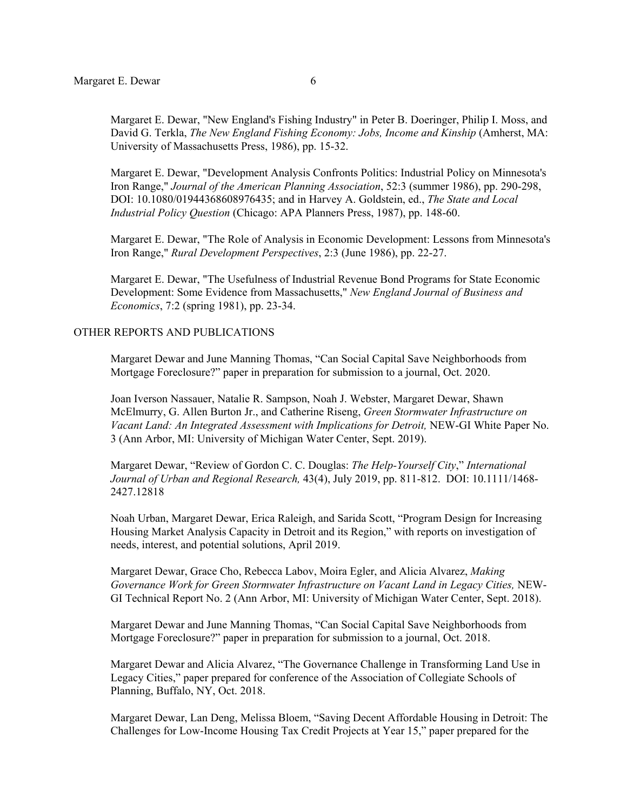Margaret E. Dewar, "New England's Fishing Industry" in Peter B. Doeringer, Philip I. Moss, and David G. Terkla, *The New England Fishing Economy: Jobs, Income and Kinship* (Amherst, MA: University of Massachusetts Press, 1986), pp. 15-32.

 Margaret E. Dewar, "Development Analysis Confronts Politics: Industrial Policy on Minnesota's Iron Range," *Journal of the American Planning Association*, 52:3 (summer 1986), pp. 290-298, DOI: 10.1080/01944368608976435; and in Harvey A. Goldstein, ed., *The State and Local Industrial Policy Question* (Chicago: APA Planners Press, 1987), pp. 148-60.

 Margaret E. Dewar, "The Role of Analysis in Economic Development: Lessons from Minnesota's Iron Range," *Rural Development Perspectives*, 2:3 (June 1986), pp. 22-27.

 Margaret E. Dewar, "The Usefulness of Industrial Revenue Bond Programs for State Economic Development: Some Evidence from Massachusetts," *New England Journal of Business and Economics*, 7:2 (spring 1981), pp. 23-34.

## OTHER REPORTS AND PUBLICATIONS

Margaret Dewar and June Manning Thomas, "Can Social Capital Save Neighborhoods from Mortgage Foreclosure?" paper in preparation for submission to a journal, Oct. 2020.

Joan Iverson Nassauer, Natalie R. Sampson, Noah J. Webster, Margaret Dewar, Shawn McElmurry, G. Allen Burton Jr., and Catherine Riseng, *Green Stormwater Infrastructure on Vacant Land: An Integrated Assessment with Implications for Detroit,* NEW-GI White Paper No. 3 (Ann Arbor, MI: University of Michigan Water Center, Sept. 2019).

Margaret Dewar, "Review of Gordon C. C. Douglas: *The Help-Yourself City*," *International Journal of Urban and Regional Research,* 43(4), July 2019, pp. 811-812. DOI: 10.1111/1468- 2427.12818

Noah Urban, Margaret Dewar, Erica Raleigh, and Sarida Scott, "Program Design for Increasing Housing Market Analysis Capacity in Detroit and its Region," with reports on investigation of needs, interest, and potential solutions, April 2019.

Margaret Dewar, Grace Cho, Rebecca Labov, Moira Egler, and Alicia Alvarez, *Making*  Governance Work for Green Stormwater Infrastructure on Vacant Land in Legacy Cities, NEW-GI Technical Report No. 2 (Ann Arbor, MI: University of Michigan Water Center, Sept. 2018).

Margaret Dewar and June Manning Thomas, "Can Social Capital Save Neighborhoods from Mortgage Foreclosure?" paper in preparation for submission to a journal, Oct. 2018.

Margaret Dewar and Alicia Alvarez, "The Governance Challenge in Transforming Land Use in Legacy Cities," paper prepared for conference of the Association of Collegiate Schools of Planning, Buffalo, NY, Oct. 2018.

Margaret Dewar, Lan Deng, Melissa Bloem, "Saving Decent Affordable Housing in Detroit: The Challenges for Low-Income Housing Tax Credit Projects at Year 15," paper prepared for the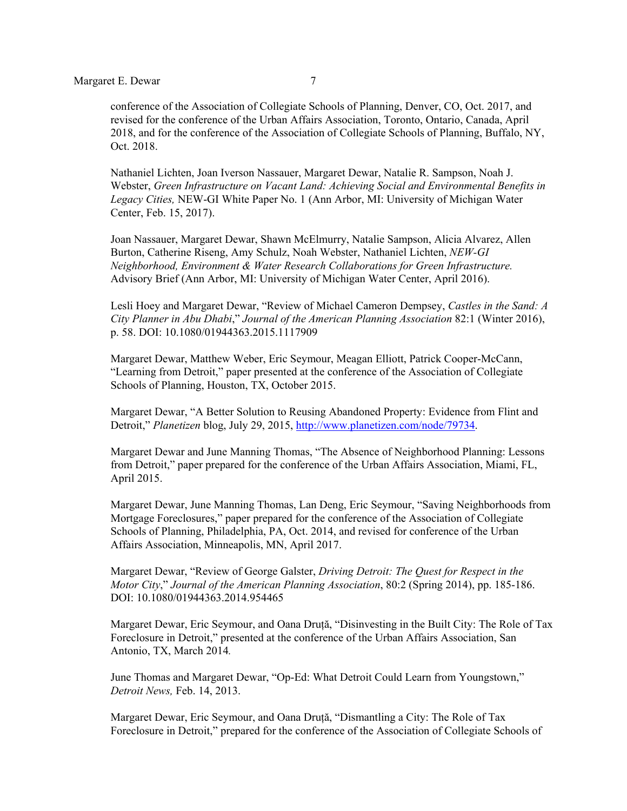conference of the Association of Collegiate Schools of Planning, Denver, CO, Oct. 2017, and revised for the conference of the Urban Affairs Association, Toronto, Ontario, Canada, April 2018, and for the conference of the Association of Collegiate Schools of Planning, Buffalo, NY, Oct. 2018.

Nathaniel Lichten, Joan Iverson Nassauer, Margaret Dewar, Natalie R. Sampson, Noah J. Webster, *Green Infrastructure on Vacant Land: Achieving Social and Environmental Benefits in Legacy Cities,* NEW-GI White Paper No. 1 (Ann Arbor, MI: University of Michigan Water Center, Feb. 15, 2017).

Joan Nassauer, Margaret Dewar, Shawn McElmurry, Natalie Sampson, Alicia Alvarez, Allen Burton, Catherine Riseng, Amy Schulz, Noah Webster, Nathaniel Lichten, *NEW-GI Neighborhood, Environment & Water Research Collaborations for Green Infrastructure.*  Advisory Brief (Ann Arbor, MI: University of Michigan Water Center, April 2016).

Lesli Hoey and Margaret Dewar, "Review of Michael Cameron Dempsey, *Castles in the Sand: A City Planner in Abu Dhabi*," *Journal of the American Planning Association* 82:1 (Winter 2016), p. 58. DOI: 10.1080/01944363.2015.1117909

Margaret Dewar, Matthew Weber, Eric Seymour, Meagan Elliott, Patrick Cooper-McCann, "Learning from Detroit," paper presented at the conference of the Association of Collegiate Schools of Planning, Houston, TX, October 2015.

Margaret Dewar, "A Better Solution to Reusing Abandoned Property: Evidence from Flint and Detroit," *Planetizen* blog, July 29, 2015, http://www.planetizen.com/node/79734.

Margaret Dewar and June Manning Thomas, "The Absence of Neighborhood Planning: Lessons from Detroit," paper prepared for the conference of the Urban Affairs Association, Miami, FL, April 2015.

Margaret Dewar, June Manning Thomas, Lan Deng, Eric Seymour, "Saving Neighborhoods from Mortgage Foreclosures," paper prepared for the conference of the Association of Collegiate Schools of Planning, Philadelphia, PA, Oct. 2014, and revised for conference of the Urban Affairs Association, Minneapolis, MN, April 2017.

Margaret Dewar, "Review of George Galster, *Driving Detroit: The Quest for Respect in the Motor City*," *Journal of the American Planning Association*, 80:2 (Spring 2014), pp. 185-186. DOI: 10.1080/01944363.2014.954465

Margaret Dewar, Eric Seymour, and Oana Druță, "Disinvesting in the Built City: The Role of Tax Foreclosure in Detroit," presented at the conference of the Urban Affairs Association, San Antonio, TX, March 2014*.*

June Thomas and Margaret Dewar, "Op-Ed: What Detroit Could Learn from Youngstown," *Detroit News,* Feb. 14, 2013.

Margaret Dewar, Eric Seymour, and Oana Druță, "Dismantling a City: The Role of Tax Foreclosure in Detroit," prepared for the conference of the Association of Collegiate Schools of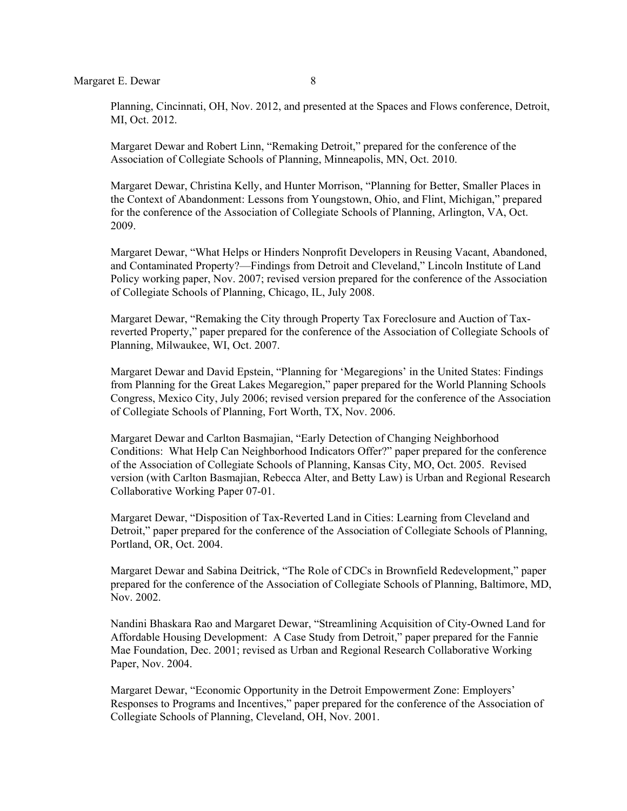Planning, Cincinnati, OH, Nov. 2012, and presented at the Spaces and Flows conference, Detroit, MI, Oct. 2012.

Margaret Dewar and Robert Linn, "Remaking Detroit," prepared for the conference of the Association of Collegiate Schools of Planning, Minneapolis, MN, Oct. 2010.

Margaret Dewar, Christina Kelly, and Hunter Morrison, "Planning for Better, Smaller Places in the Context of Abandonment: Lessons from Youngstown, Ohio, and Flint, Michigan," prepared for the conference of the Association of Collegiate Schools of Planning, Arlington, VA, Oct. 2009.

Margaret Dewar, "What Helps or Hinders Nonprofit Developers in Reusing Vacant, Abandoned, and Contaminated Property?—Findings from Detroit and Cleveland," Lincoln Institute of Land Policy working paper, Nov. 2007; revised version prepared for the conference of the Association of Collegiate Schools of Planning, Chicago, IL, July 2008.

Margaret Dewar, "Remaking the City through Property Tax Foreclosure and Auction of Taxreverted Property," paper prepared for the conference of the Association of Collegiate Schools of Planning, Milwaukee, WI, Oct. 2007.

Margaret Dewar and David Epstein, "Planning for 'Megaregions' in the United States: Findings from Planning for the Great Lakes Megaregion," paper prepared for the World Planning Schools Congress, Mexico City, July 2006; revised version prepared for the conference of the Association of Collegiate Schools of Planning, Fort Worth, TX, Nov. 2006.

Margaret Dewar and Carlton Basmajian, "Early Detection of Changing Neighborhood Conditions: What Help Can Neighborhood Indicators Offer?" paper prepared for the conference of the Association of Collegiate Schools of Planning, Kansas City, MO, Oct. 2005. Revised version (with Carlton Basmajian, Rebecca Alter, and Betty Law) is Urban and Regional Research Collaborative Working Paper 07-01.

Margaret Dewar, "Disposition of Tax-Reverted Land in Cities: Learning from Cleveland and Detroit," paper prepared for the conference of the Association of Collegiate Schools of Planning, Portland, OR, Oct. 2004.

Margaret Dewar and Sabina Deitrick, "The Role of CDCs in Brownfield Redevelopment," paper prepared for the conference of the Association of Collegiate Schools of Planning, Baltimore, MD, Nov. 2002.

Nandini Bhaskara Rao and Margaret Dewar, "Streamlining Acquisition of City-Owned Land for Affordable Housing Development: A Case Study from Detroit," paper prepared for the Fannie Mae Foundation, Dec. 2001; revised as Urban and Regional Research Collaborative Working Paper, Nov. 2004.

Margaret Dewar, "Economic Opportunity in the Detroit Empowerment Zone: Employers' Responses to Programs and Incentives," paper prepared for the conference of the Association of Collegiate Schools of Planning, Cleveland, OH, Nov. 2001.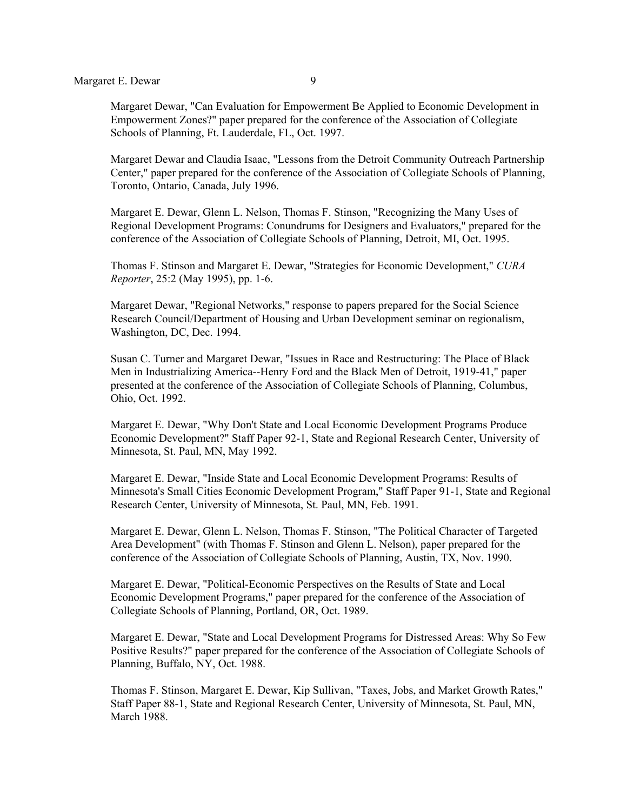Margaret Dewar, "Can Evaluation for Empowerment Be Applied to Economic Development in Empowerment Zones?" paper prepared for the conference of the Association of Collegiate Schools of Planning, Ft. Lauderdale, FL, Oct. 1997.

 Margaret Dewar and Claudia Isaac, "Lessons from the Detroit Community Outreach Partnership Center," paper prepared for the conference of the Association of Collegiate Schools of Planning, Toronto, Ontario, Canada, July 1996.

 Margaret E. Dewar, Glenn L. Nelson, Thomas F. Stinson, "Recognizing the Many Uses of Regional Development Programs: Conundrums for Designers and Evaluators," prepared for the conference of the Association of Collegiate Schools of Planning, Detroit, MI, Oct. 1995.

 Thomas F. Stinson and Margaret E. Dewar, "Strategies for Economic Development," *CURA Reporter*, 25:2 (May 1995), pp. 1-6.

 Margaret Dewar, "Regional Networks," response to papers prepared for the Social Science Research Council/Department of Housing and Urban Development seminar on regionalism, Washington, DC, Dec. 1994.

 Susan C. Turner and Margaret Dewar, "Issues in Race and Restructuring: The Place of Black Men in Industrializing America--Henry Ford and the Black Men of Detroit, 1919-41," paper presented at the conference of the Association of Collegiate Schools of Planning, Columbus, Ohio, Oct. 1992.

 Margaret E. Dewar, "Why Don't State and Local Economic Development Programs Produce Economic Development?" Staff Paper 92-1, State and Regional Research Center, University of Minnesota, St. Paul, MN, May 1992.

 Margaret E. Dewar, "Inside State and Local Economic Development Programs: Results of Minnesota's Small Cities Economic Development Program," Staff Paper 91-1, State and Regional Research Center, University of Minnesota, St. Paul, MN, Feb. 1991.

 Margaret E. Dewar, Glenn L. Nelson, Thomas F. Stinson, "The Political Character of Targeted Area Development" (with Thomas F. Stinson and Glenn L. Nelson), paper prepared for the conference of the Association of Collegiate Schools of Planning, Austin, TX, Nov. 1990.

 Margaret E. Dewar, "Political-Economic Perspectives on the Results of State and Local Economic Development Programs," paper prepared for the conference of the Association of Collegiate Schools of Planning, Portland, OR, Oct. 1989.

 Margaret E. Dewar, "State and Local Development Programs for Distressed Areas: Why So Few Positive Results?" paper prepared for the conference of the Association of Collegiate Schools of Planning, Buffalo, NY, Oct. 1988.

 Thomas F. Stinson, Margaret E. Dewar, Kip Sullivan, "Taxes, Jobs, and Market Growth Rates," Staff Paper 88-1, State and Regional Research Center, University of Minnesota, St. Paul, MN, March 1988.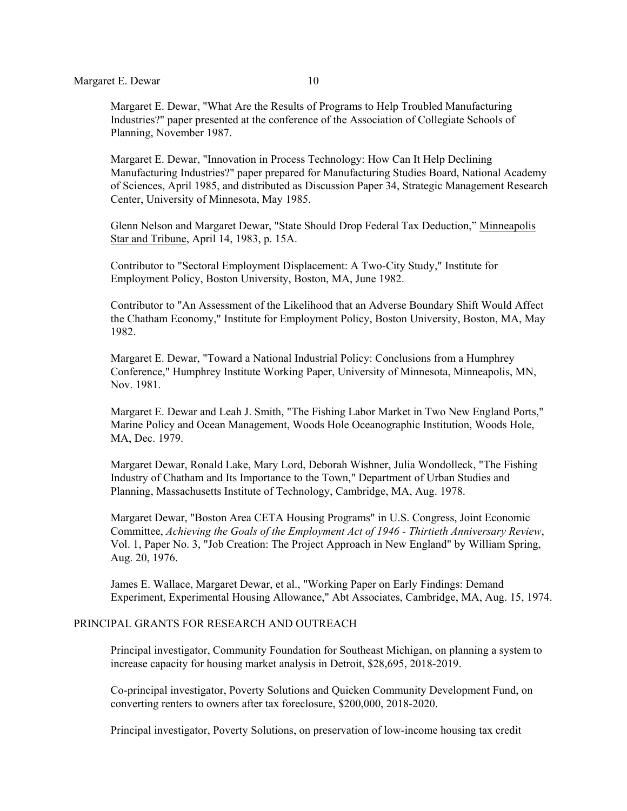Margaret E. Dewar, "What Are the Results of Programs to Help Troubled Manufacturing Industries?" paper presented at the conference of the Association of Collegiate Schools of Planning, November 1987.

 Margaret E. Dewar, "Innovation in Process Technology: How Can It Help Declining Manufacturing Industries?" paper prepared for Manufacturing Studies Board, National Academy of Sciences, April 1985, and distributed as Discussion Paper 34, Strategic Management Research Center, University of Minnesota, May 1985.

 Glenn Nelson and Margaret Dewar, "State Should Drop Federal Tax Deduction," Minneapolis Star and Tribune, April 14, 1983, p. 15A.

 Contributor to "Sectoral Employment Displacement: A Two-City Study," Institute for Employment Policy, Boston University, Boston, MA, June 1982.

 Contributor to "An Assessment of the Likelihood that an Adverse Boundary Shift Would Affect the Chatham Economy," Institute for Employment Policy, Boston University, Boston, MA, May 1982.

 Margaret E. Dewar, "Toward a National Industrial Policy: Conclusions from a Humphrey Conference," Humphrey Institute Working Paper, University of Minnesota, Minneapolis, MN, Nov. 1981.

 Margaret E. Dewar and Leah J. Smith, "The Fishing Labor Market in Two New England Ports," Marine Policy and Ocean Management, Woods Hole Oceanographic Institution, Woods Hole, MA, Dec. 1979.

 Margaret Dewar, Ronald Lake, Mary Lord, Deborah Wishner, Julia Wondolleck, "The Fishing Industry of Chatham and Its Importance to the Town," Department of Urban Studies and Planning, Massachusetts Institute of Technology, Cambridge, MA, Aug. 1978.

 Margaret Dewar, "Boston Area CETA Housing Programs" in U.S. Congress, Joint Economic Committee, *Achieving the Goals of the Employment Act of 1946 - Thirtieth Anniversary Review*, Vol. 1, Paper No. 3, "Job Creation: The Project Approach in New England" by William Spring, Aug. 20, 1976.

 James E. Wallace, Margaret Dewar, et al., "Working Paper on Early Findings: Demand Experiment, Experimental Housing Allowance," Abt Associates, Cambridge, MA, Aug. 15, 1974.

#### PRINCIPAL GRANTS FOR RESEARCH AND OUTREACH

Principal investigator, Community Foundation for Southeast Michigan, on planning a system to increase capacity for housing market analysis in Detroit, \$28,695, 2018-2019.

Co-principal investigator, Poverty Solutions and Quicken Community Development Fund, on converting renters to owners after tax foreclosure, \$200,000, 2018-2020.

Principal investigator, Poverty Solutions, on preservation of low-income housing tax credit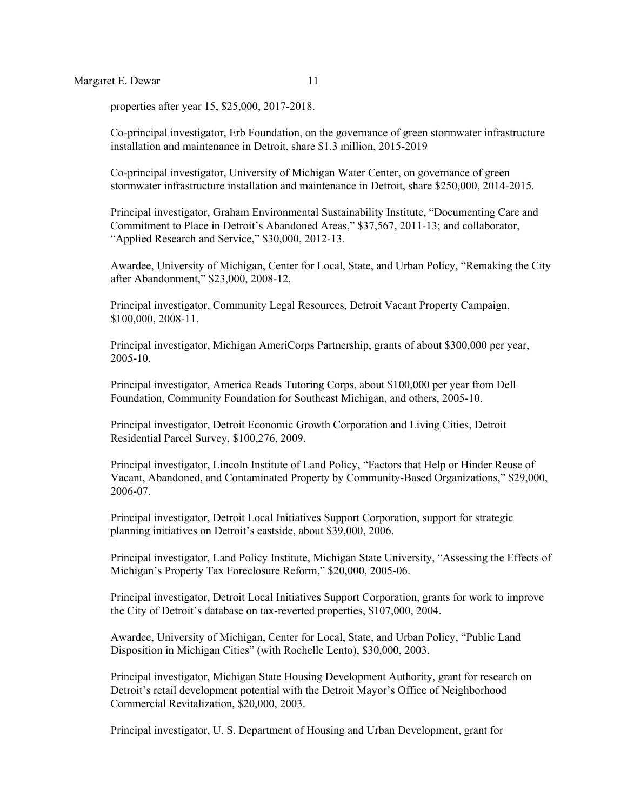properties after year 15, \$25,000, 2017-2018.

Co-principal investigator, Erb Foundation, on the governance of green stormwater infrastructure installation and maintenance in Detroit, share \$1.3 million, 2015-2019

Co-principal investigator, University of Michigan Water Center, on governance of green stormwater infrastructure installation and maintenance in Detroit, share \$250,000, 2014-2015.

Principal investigator, Graham Environmental Sustainability Institute, "Documenting Care and Commitment to Place in Detroit's Abandoned Areas," \$37,567, 2011-13; and collaborator, "Applied Research and Service," \$30,000, 2012-13.

Awardee, University of Michigan, Center for Local, State, and Urban Policy, "Remaking the City after Abandonment," \$23,000, 2008-12.

Principal investigator, Community Legal Resources, Detroit Vacant Property Campaign, \$100,000, 2008-11.

Principal investigator, Michigan AmeriCorps Partnership, grants of about \$300,000 per year, 2005-10.

Principal investigator, America Reads Tutoring Corps, about \$100,000 per year from Dell Foundation, Community Foundation for Southeast Michigan, and others, 2005-10.

Principal investigator, Detroit Economic Growth Corporation and Living Cities, Detroit Residential Parcel Survey, \$100,276, 2009.

Principal investigator, Lincoln Institute of Land Policy, "Factors that Help or Hinder Reuse of Vacant, Abandoned, and Contaminated Property by Community-Based Organizations," \$29,000, 2006-07.

Principal investigator, Detroit Local Initiatives Support Corporation, support for strategic planning initiatives on Detroit's eastside, about \$39,000, 2006.

Principal investigator, Land Policy Institute, Michigan State University, "Assessing the Effects of Michigan's Property Tax Foreclosure Reform," \$20,000, 2005-06.

Principal investigator, Detroit Local Initiatives Support Corporation, grants for work to improve the City of Detroit's database on tax-reverted properties, \$107,000, 2004.

Awardee, University of Michigan, Center for Local, State, and Urban Policy, "Public Land Disposition in Michigan Cities" (with Rochelle Lento), \$30,000, 2003.

 Principal investigator, Michigan State Housing Development Authority, grant for research on Detroit's retail development potential with the Detroit Mayor's Office of Neighborhood Commercial Revitalization, \$20,000, 2003.

Principal investigator, U. S. Department of Housing and Urban Development, grant for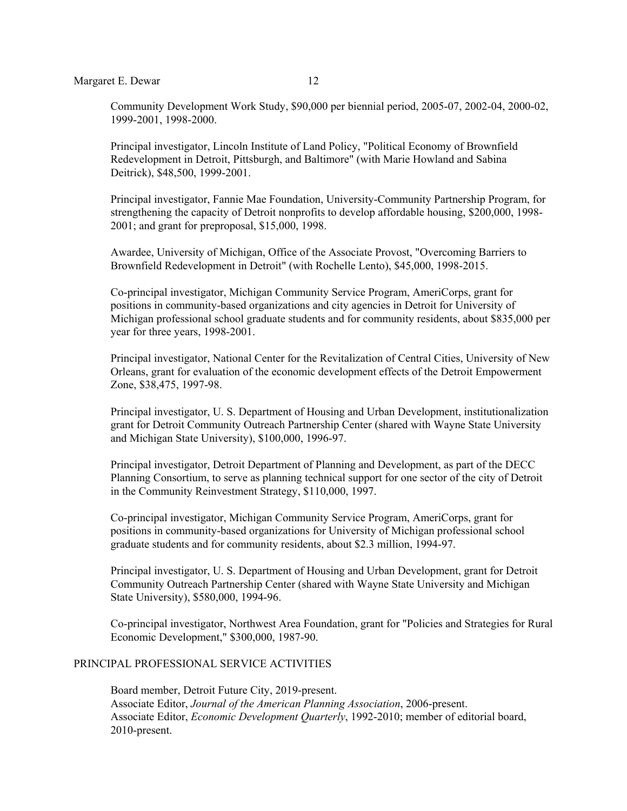Community Development Work Study, \$90,000 per biennial period, 2005-07, 2002-04, 2000-02, 1999-2001, 1998-2000.

 Principal investigator, Lincoln Institute of Land Policy, "Political Economy of Brownfield Redevelopment in Detroit, Pittsburgh, and Baltimore" (with Marie Howland and Sabina Deitrick), \$48,500, 1999-2001.

 Principal investigator, Fannie Mae Foundation, University-Community Partnership Program, for strengthening the capacity of Detroit nonprofits to develop affordable housing, \$200,000, 1998- 2001; and grant for preproposal, \$15,000, 1998.

 Awardee, University of Michigan, Office of the Associate Provost, "Overcoming Barriers to Brownfield Redevelopment in Detroit" (with Rochelle Lento), \$45,000, 1998-2015.

 Co-principal investigator, Michigan Community Service Program, AmeriCorps, grant for positions in community-based organizations and city agencies in Detroit for University of Michigan professional school graduate students and for community residents, about \$835,000 per year for three years, 1998-2001.

 Principal investigator, National Center for the Revitalization of Central Cities, University of New Orleans, grant for evaluation of the economic development effects of the Detroit Empowerment Zone, \$38,475, 1997-98.

 Principal investigator, U. S. Department of Housing and Urban Development, institutionalization grant for Detroit Community Outreach Partnership Center (shared with Wayne State University and Michigan State University), \$100,000, 1996-97.

 Principal investigator, Detroit Department of Planning and Development, as part of the DECC Planning Consortium, to serve as planning technical support for one sector of the city of Detroit in the Community Reinvestment Strategy, \$110,000, 1997.

 Co-principal investigator, Michigan Community Service Program, AmeriCorps, grant for positions in community-based organizations for University of Michigan professional school graduate students and for community residents, about \$2.3 million, 1994-97.

 Principal investigator, U. S. Department of Housing and Urban Development, grant for Detroit Community Outreach Partnership Center (shared with Wayne State University and Michigan State University), \$580,000, 1994-96.

 Co-principal investigator, Northwest Area Foundation, grant for "Policies and Strategies for Rural Economic Development," \$300,000, 1987-90.

## PRINCIPAL PROFESSIONAL SERVICE ACTIVITIES

Board member, Detroit Future City, 2019-present. Associate Editor, *Journal of the American Planning Association*, 2006-present. Associate Editor, *Economic Development Quarterly*, 1992-2010; member of editorial board, 2010-present.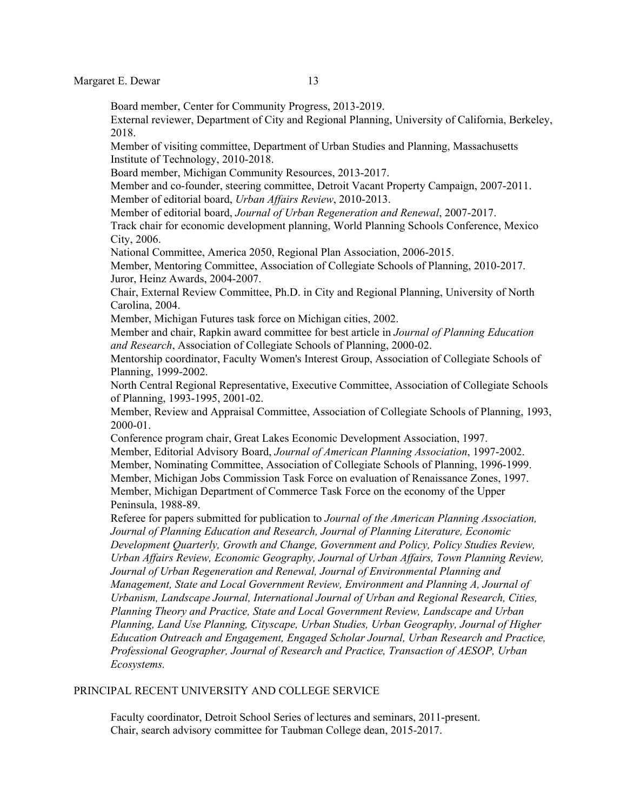Margaret E. Dewar 13

Board member, Center for Community Progress, 2013-2019.

External reviewer, Department of City and Regional Planning, University of California, Berkeley, 2018.

Member of visiting committee, Department of Urban Studies and Planning, Massachusetts Institute of Technology, 2010-2018.

Board member, Michigan Community Resources, 2013-2017.

Member and co-founder, steering committee, Detroit Vacant Property Campaign, 2007-2011. Member of editorial board, *Urban Affairs Review*, 2010-2013.

Member of editorial board, *Journal of Urban Regeneration and Renewal*, 2007-2017.

 Track chair for economic development planning, World Planning Schools Conference, Mexico City, 2006.

National Committee, America 2050, Regional Plan Association, 2006-2015.

Member, Mentoring Committee, Association of Collegiate Schools of Planning, 2010-2017. Juror, Heinz Awards, 2004-2007.

Chair, External Review Committee, Ph.D. in City and Regional Planning, University of North Carolina, 2004.

Member, Michigan Futures task force on Michigan cities, 2002.

 Member and chair, Rapkin award committee for best article in *Journal of Planning Education and Research*, Association of Collegiate Schools of Planning, 2000-02.

 Mentorship coordinator, Faculty Women's Interest Group, Association of Collegiate Schools of Planning, 1999-2002.

 North Central Regional Representative, Executive Committee, Association of Collegiate Schools of Planning, 1993-1995, 2001-02.

 Member, Review and Appraisal Committee, Association of Collegiate Schools of Planning, 1993, 2000-01.

 Conference program chair, Great Lakes Economic Development Association, 1997. Member, Editorial Advisory Board, *Journal of American Planning Association*, 1997-2002. Member, Nominating Committee, Association of Collegiate Schools of Planning, 1996-1999. Member, Michigan Jobs Commission Task Force on evaluation of Renaissance Zones, 1997. Member, Michigan Department of Commerce Task Force on the economy of the Upper Peninsula, 1988-89.

 Referee for papers submitted for publication to *Journal of the American Planning Association, Journal of Planning Education and Research, Journal of Planning Literature, Economic Development Quarterly, Growth and Change, Government and Policy, Policy Studies Review, Urban Affairs Review, Economic Geography, Journal of Urban Affairs, Town Planning Review, Journal of Urban Regeneration and Renewal, Journal of Environmental Planning and Management, State and Local Government Review, Environment and Planning A, Journal of Urbanism, Landscape Journal, International Journal of Urban and Regional Research, Cities, Planning Theory and Practice, State and Local Government Review, Landscape and Urban Planning, Land Use Planning, Cityscape, Urban Studies, Urban Geography, Journal of Higher Education Outreach and Engagement, Engaged Scholar Journal, Urban Research and Practice, Professional Geographer, Journal of Research and Practice, Transaction of AESOP, Urban Ecosystems.*

### PRINCIPAL RECENT UNIVERSITY AND COLLEGE SERVICE

Faculty coordinator, Detroit School Series of lectures and seminars, 2011-present. Chair, search advisory committee for Taubman College dean, 2015-2017.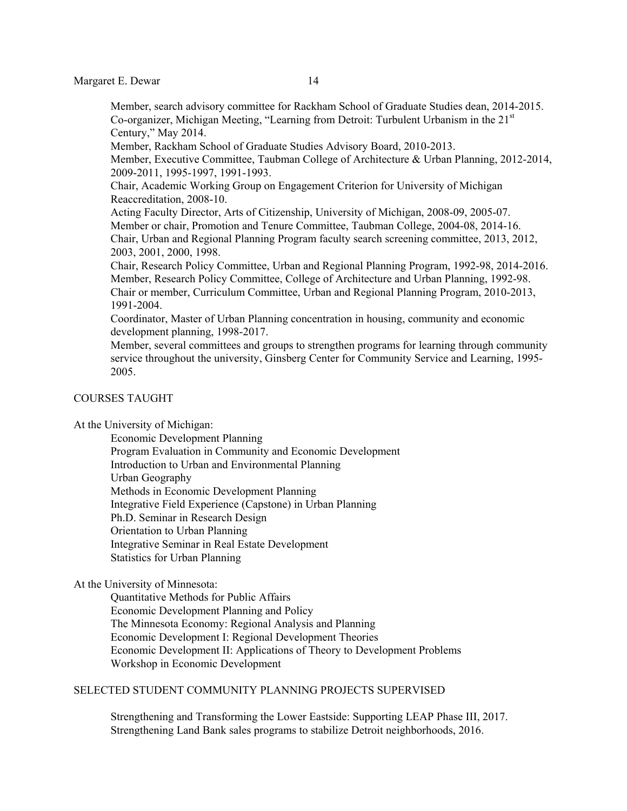Member, search advisory committee for Rackham School of Graduate Studies dean, 2014-2015. Co-organizer, Michigan Meeting, "Learning from Detroit: Turbulent Urbanism in the 21<sup>st</sup> Century," May 2014.

Member, Rackham School of Graduate Studies Advisory Board, 2010-2013.

Member, Executive Committee, Taubman College of Architecture & Urban Planning, 2012-2014, 2009-2011, 1995-1997, 1991-1993.

Chair, Academic Working Group on Engagement Criterion for University of Michigan Reaccreditation, 2008-10.

Acting Faculty Director, Arts of Citizenship, University of Michigan, 2008-09, 2005-07. Member or chair, Promotion and Tenure Committee, Taubman College, 2004-08, 2014-16. Chair, Urban and Regional Planning Program faculty search screening committee, 2013, 2012, 2003, 2001, 2000, 1998.

 Chair, Research Policy Committee, Urban and Regional Planning Program, 1992-98, 2014-2016. Member, Research Policy Committee, College of Architecture and Urban Planning, 1992-98. Chair or member, Curriculum Committee, Urban and Regional Planning Program, 2010-2013, 1991-2004.

 Coordinator, Master of Urban Planning concentration in housing, community and economic development planning, 1998-2017.

 Member, several committees and groups to strengthen programs for learning through community service throughout the university, Ginsberg Center for Community Service and Learning, 1995- 2005.

## COURSES TAUGHT

At the University of Michigan:

Economic Development Planning

 Program Evaluation in Community and Economic Development Introduction to Urban and Environmental Planning Urban Geography Methods in Economic Development Planning

Integrative Field Experience (Capstone) in Urban Planning

Ph.D. Seminar in Research Design

Orientation to Urban Planning

Integrative Seminar in Real Estate Development

Statistics for Urban Planning

#### At the University of Minnesota:

 Quantitative Methods for Public Affairs Economic Development Planning and Policy The Minnesota Economy: Regional Analysis and Planning Economic Development I: Regional Development Theories Economic Development II: Applications of Theory to Development Problems Workshop in Economic Development

## SELECTED STUDENT COMMUNITY PLANNING PROJECTS SUPERVISED

Strengthening and Transforming the Lower Eastside: Supporting LEAP Phase III, 2017. Strengthening Land Bank sales programs to stabilize Detroit neighborhoods, 2016.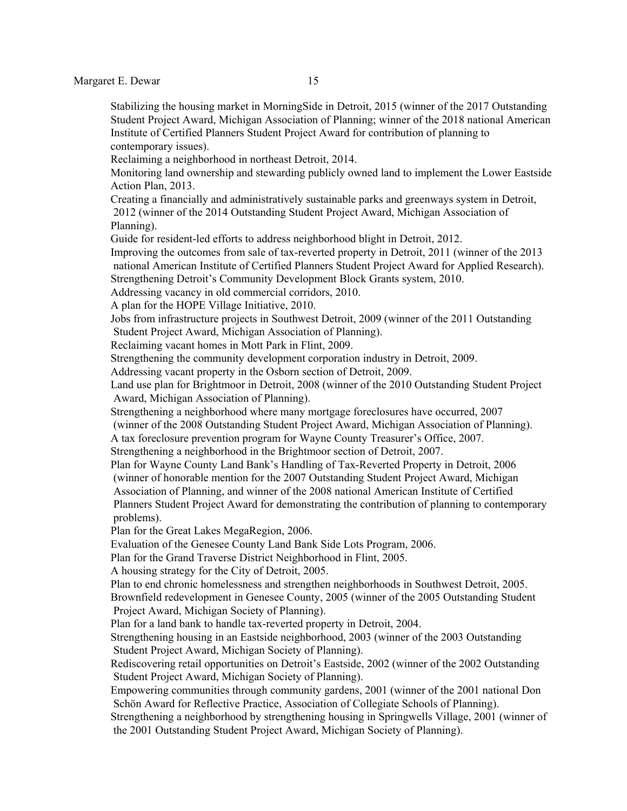Stabilizing the housing market in MorningSide in Detroit, 2015 (winner of the 2017 Outstanding Student Project Award, Michigan Association of Planning; winner of the 2018 national American Institute of Certified Planners Student Project Award for contribution of planning to contemporary issues).

Reclaiming a neighborhood in northeast Detroit, 2014.

Monitoring land ownership and stewarding publicly owned land to implement the Lower Eastside Action Plan, 2013.

Creating a financially and administratively sustainable parks and greenways system in Detroit, 2012 (winner of the 2014 Outstanding Student Project Award, Michigan Association of Planning).

Guide for resident-led efforts to address neighborhood blight in Detroit, 2012.

Improving the outcomes from sale of tax-reverted property in Detroit, 2011 (winner of the 2013 national American Institute of Certified Planners Student Project Award for Applied Research). Strengthening Detroit's Community Development Block Grants system, 2010.

Addressing vacancy in old commercial corridors, 2010.

A plan for the HOPE Village Initiative, 2010.

Jobs from infrastructure projects in Southwest Detroit, 2009 (winner of the 2011 Outstanding Student Project Award, Michigan Association of Planning).

Reclaiming vacant homes in Mott Park in Flint, 2009.

Strengthening the community development corporation industry in Detroit, 2009.

Addressing vacant property in the Osborn section of Detroit, 2009.

Land use plan for Brightmoor in Detroit, 2008 (winner of the 2010 Outstanding Student Project Award, Michigan Association of Planning).

Strengthening a neighborhood where many mortgage foreclosures have occurred, 2007 (winner of the 2008 Outstanding Student Project Award, Michigan Association of Planning). A tax foreclosure prevention program for Wayne County Treasurer's Office, 2007.

Strengthening a neighborhood in the Brightmoor section of Detroit, 2007.

Plan for Wayne County Land Bank's Handling of Tax-Reverted Property in Detroit, 2006 (winner of honorable mention for the 2007 Outstanding Student Project Award, Michigan Association of Planning, and winner of the 2008 national American Institute of Certified Planners Student Project Award for demonstrating the contribution of planning to contemporary

problems).

Plan for the Great Lakes MegaRegion, 2006.

Evaluation of the Genesee County Land Bank Side Lots Program, 2006.

Plan for the Grand Traverse District Neighborhood in Flint, 2005.

A housing strategy for the City of Detroit, 2005.

Plan to end chronic homelessness and strengthen neighborhoods in Southwest Detroit, 2005.

Brownfield redevelopment in Genesee County, 2005 (winner of the 2005 Outstanding Student Project Award, Michigan Society of Planning).

Plan for a land bank to handle tax-reverted property in Detroit, 2004.

Strengthening housing in an Eastside neighborhood, 2003 (winner of the 2003 Outstanding Student Project Award, Michigan Society of Planning).

Rediscovering retail opportunities on Detroit's Eastside, 2002 (winner of the 2002 Outstanding Student Project Award, Michigan Society of Planning).

Empowering communities through community gardens, 2001 (winner of the 2001 national Don Schön Award for Reflective Practice, Association of Collegiate Schools of Planning).

Strengthening a neighborhood by strengthening housing in Springwells Village, 2001 (winner of the 2001 Outstanding Student Project Award, Michigan Society of Planning).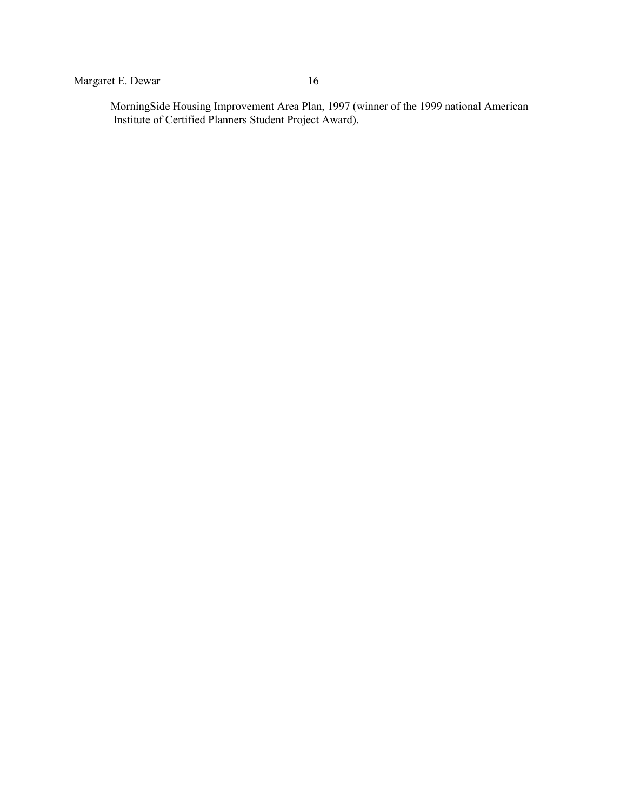MorningSide Housing Improvement Area Plan, 1997 (winner of the 1999 national American Institute of Certified Planners Student Project Award).